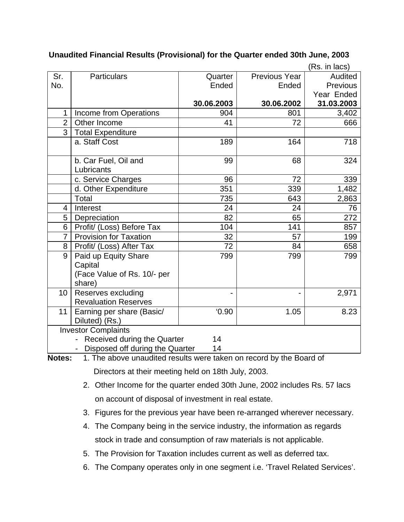|                |                                                                                              |            |                      | (Rs. in lacs)   |
|----------------|----------------------------------------------------------------------------------------------|------------|----------------------|-----------------|
| Sr.            | <b>Particulars</b>                                                                           | Quarter    | <b>Previous Year</b> | Audited         |
| No.            |                                                                                              | Ended      | Ended                | <b>Previous</b> |
|                |                                                                                              |            |                      | Year Ended      |
|                |                                                                                              | 30.06.2003 | 30.06.2002           | 31.03.2003      |
| $\mathbf{1}$   | Income from Operations                                                                       | 904        | 801                  | 3,402           |
| $\overline{2}$ | Other Income                                                                                 | 41         | 72                   | 666             |
| $\overline{3}$ | <b>Total Expenditure</b>                                                                     |            |                      |                 |
|                | a. Staff Cost                                                                                | 189        | 164                  | 718             |
|                | b. Car Fuel, Oil and<br>Lubricants                                                           | 99         | 68                   | 324             |
|                | c. Service Charges                                                                           | 96         | 72                   | 339             |
|                | d. Other Expenditure                                                                         | 351        | 339                  | 1,482           |
|                | Total                                                                                        | 735        | 643                  | 2,863           |
| 4              | Interest                                                                                     | 24         | 24                   | 76              |
| 5              | Depreciation                                                                                 | 82         | 65                   | 272             |
| 6              | Profit/ (Loss) Before Tax                                                                    | 104        | 141                  | 857             |
| $\overline{7}$ | <b>Provision for Taxation</b>                                                                | 32         | 57                   | 199             |
| 8              | Profit/ (Loss) After Tax                                                                     | 72         | 84                   | 658             |
| 9              | Paid up Equity Share<br>Capital<br>(Face Value of Rs. 10/- per<br>share)                     | 799        | 799                  | 799             |
| 10             | Reserves excluding<br><b>Revaluation Reserves</b>                                            |            |                      | 2,971           |
| 11             | Earning per share (Basic/<br>Diluted) (Rs.)                                                  | 0.90       | 1.05                 | 8.23            |
|                | <b>Investor Complaints</b><br>Received during the Quarter<br>Disposed off during the Quarter | 14<br>14   |                      |                 |

## **Unaudited Financial Results (Provisional) for the Quarter ended 30th June, 2003**

**Notes:** 1. The above unaudited results were taken on record by the Board of Directors at their meeting held on 18th July, 2003.

- 2. Other Income for the quarter ended 30th June, 2002 includes Rs. 57 lacs on account of disposal of investment in real estate.
- 3. Figures for the previous year have been re-arranged wherever necessary.
- 4. The Company being in the service industry, the information as regards stock in trade and consumption of raw materials is not applicable.
- 5. The Provision for Taxation includes current as well as deferred tax.
- 6. The Company operates only in one segment i.e. 'Travel Related Services'.